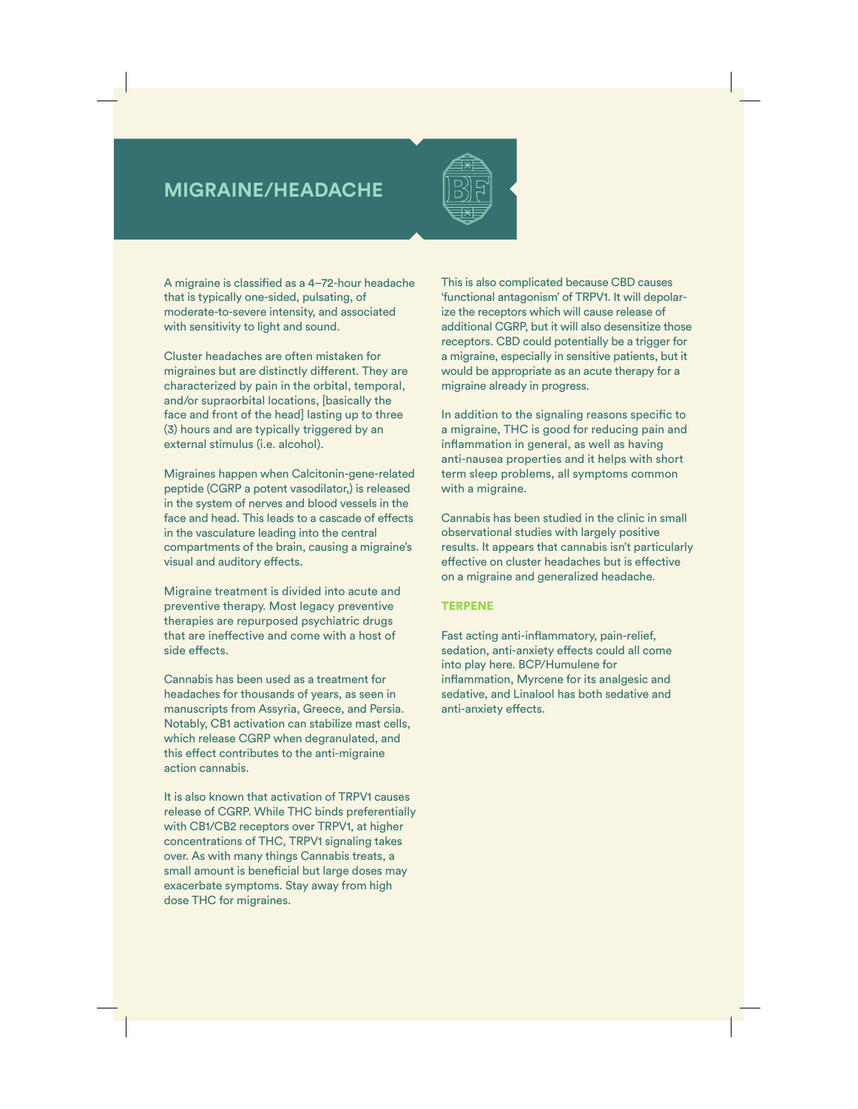## **MIGRAINE/HEADACHE**



A migraine is classified as a 4–72-hour headache that is typically one-sided, pulsating, of moderate-to-severe intensity, and associated with sensitivity to light and sound.

Cluster headaches are often mistaken for migraines but are distinctly different. They are characterized by pain in the orbital, temporal, and/or supraorbital locations, [basically the face and front of the head] lasting up to three (3) hours and are typically triggered by an external stimulus (i.e. alcohol).

Migraines happen when Calcitonin-gene-related peptide (CGRP a potent vasodilator,) is released in the system of nerves and blood vessels in the face and head. This leads to a cascade of effects in the vasculature leading into the central compartments of the brain, causing a migraine's visual and auditory effects.

Migraine treatment is divided into acute and preventive therapy. Most legacy preventive therapies are repurposed psychiatric drugs that are ineffective and come with a host of side effects.

Cannabis has been used as a treatment for headaches for thousands of years, as seen in manuscripts from Assyria, Greece, and Persia. Notably, CB1 activation can stabilize mast cells, which release CGRP when degranulated, and this effect contributes to the anti-migraine action cannabis.

It is also known that activation of TRPV1 causes release of CGRP. While THC binds preferentially with CB1/CB2 receptors over TRPV1, at higher concentrations of THC, TRPV1 signaling takes over. As with many things Cannabis treats, a small amount is beneficial but large doses may exacerbate symptoms. Stay away from high dose THC for migraines.

This is also complicated because CBD causes 'functional antagonism' of TRPV1. It will depolarize the receptors which will cause release of additional CGRP, but it will also desensitize those receptors. CBD could potentially be a trigger for a migraine, especially in sensitive patients, but it would be appropriate as an acute therapy for a migraine already in progress.

In addition to the signaling reasons specific to a migraine, THC is good for reducing pain and inflammation in general, as well as having anti-nausea properties and it helps with short term sleep problems, all symptoms common with a migraine.

Cannabis has been studied in the clinic in small observational studies with largely positive results. It appears that cannabis isn't particularly effective on cluster headaches but is effective on a migraine and generalized headache.

## TERPENE

Fast acting anti-inflammatory, pain-relief, sedation, anti-anxiety effects could all come into play here. BCP/Humulene for inflammation, Myrcene for its analgesic and sedative, and Linalool has both sedative and anti-anxiety effects.